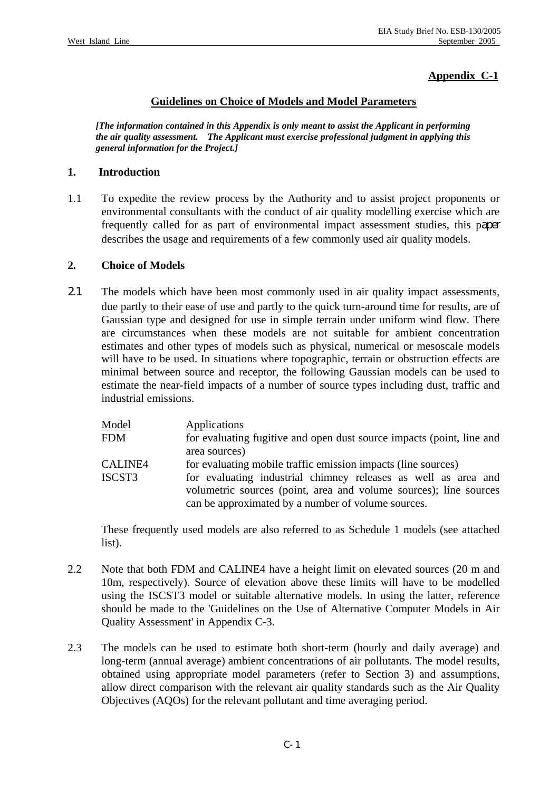## **Appendix C-1**

### **Guidelines on Choice of Models and Model Parameters**

*[The information contained in this Appendix is only meant to assist the Applicant in performing the air quality assessment. The Applicant must exercise professional judgment in applying this general information for the Project.]* 

#### **1. Introduction**

1.1 To expedite the review process by the Authority and to assist project proponents or environmental consultants with the conduct of air quality modelling exercise which are frequently called for as part of environmental impact assessment studies, this paper describes the usage and requirements of a few commonly used air quality models.

#### **2. Choice of Models**

2.1 The models which have been most commonly used in air quality impact assessments, due partly to their ease of use and partly to the quick turn-around time for results, are of Gaussian type and designed for use in simple terrain under uniform wind flow. There are circumstances when these models are not suitable for ambient concentration estimates and other types of models such as physical, numerical or mesoscale models will have to be used. In situations where topographic, terrain or obstruction effects are minimal between source and receptor, the following Gaussian models can be used to estimate the near-field impacts of a number of source types including dust, traffic and industrial emissions.

| Model      | Applications                                                          |
|------------|-----------------------------------------------------------------------|
| <b>FDM</b> | for evaluating fugitive and open dust source impacts (point, line and |
|            | area sources)                                                         |
| CALINE4    | for evaluating mobile traffic emission impacts (line sources)         |
| ISCST3     | for evaluating industrial chimney releases as well as area and        |
|            | volumetric sources (point, area and volume sources); line sources     |
|            | can be approximated by a number of volume sources.                    |

 These frequently used models are also referred to as Schedule 1 models (see attached list).

- 2.2 Note that both FDM and CALINE4 have a height limit on elevated sources (20 m and 10m, respectively). Source of elevation above these limits will have to be modelled using the ISCST3 model or suitable alternative models. In using the latter, reference should be made to the 'Guidelines on the Use of Alternative Computer Models in Air Quality Assessment' in Appendix C-3.
- 2.3 The models can be used to estimate both short-term (hourly and daily average) and long-term (annual average) ambient concentrations of air pollutants. The model results, obtained using appropriate model parameters (refer to Section 3) and assumptions, allow direct comparison with the relevant air quality standards such as the Air Quality Objectives (AQOs) for the relevant pollutant and time averaging period.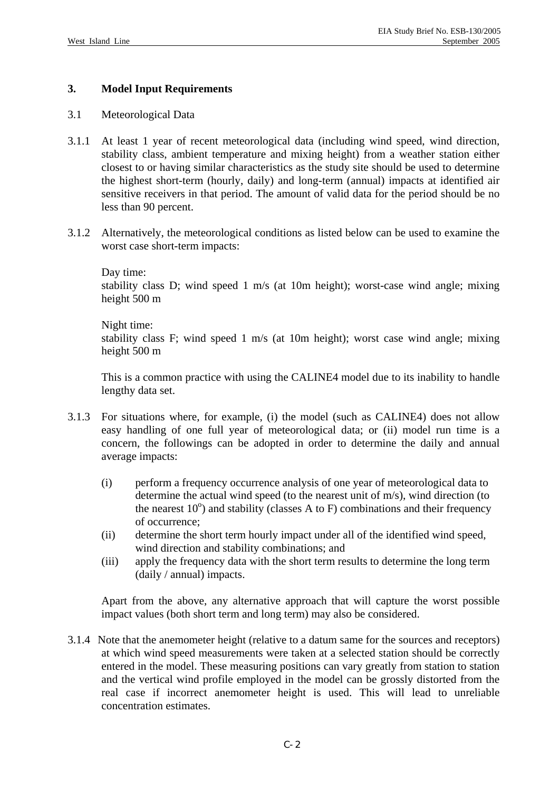## **3. Model Input Requirements**

#### 3.1 Meteorological Data

- 3.1.1 At least 1 year of recent meteorological data (including wind speed, wind direction, stability class, ambient temperature and mixing height) from a weather station either closest to or having similar characteristics as the study site should be used to determine the highest short-term (hourly, daily) and long-term (annual) impacts at identified air sensitive receivers in that period. The amount of valid data for the period should be no less than 90 percent.
- 3.1.2 Alternatively, the meteorological conditions as listed below can be used to examine the worst case short-term impacts:

#### Day time:

 stability class D; wind speed 1 m/s (at 10m height); worst-case wind angle; mixing height 500 m

#### Night time:

 stability class F; wind speed 1 m/s (at 10m height); worst case wind angle; mixing height 500 m

 This is a common practice with using the CALINE4 model due to its inability to handle lengthy data set.

- 3.1.3 For situations where, for example, (i) the model (such as CALINE4) does not allow easy handling of one full year of meteorological data; or (ii) model run time is a concern, the followings can be adopted in order to determine the daily and annual average impacts:
	- (i) perform a frequency occurrence analysis of one year of meteorological data to determine the actual wind speed (to the nearest unit of m/s), wind direction (to the nearest  $10^{\circ}$ ) and stability (classes A to F) combinations and their frequency of occurrence;
	- (ii) determine the short term hourly impact under all of the identified wind speed, wind direction and stability combinations; and
	- (iii) apply the frequency data with the short term results to determine the long term (daily / annual) impacts.

 Apart from the above, any alternative approach that will capture the worst possible impact values (both short term and long term) may also be considered.

3.1.4 Note that the anemometer height (relative to a datum same for the sources and receptors) at which wind speed measurements were taken at a selected station should be correctly entered in the model. These measuring positions can vary greatly from station to station and the vertical wind profile employed in the model can be grossly distorted from the real case if incorrect anemometer height is used. This will lead to unreliable concentration estimates.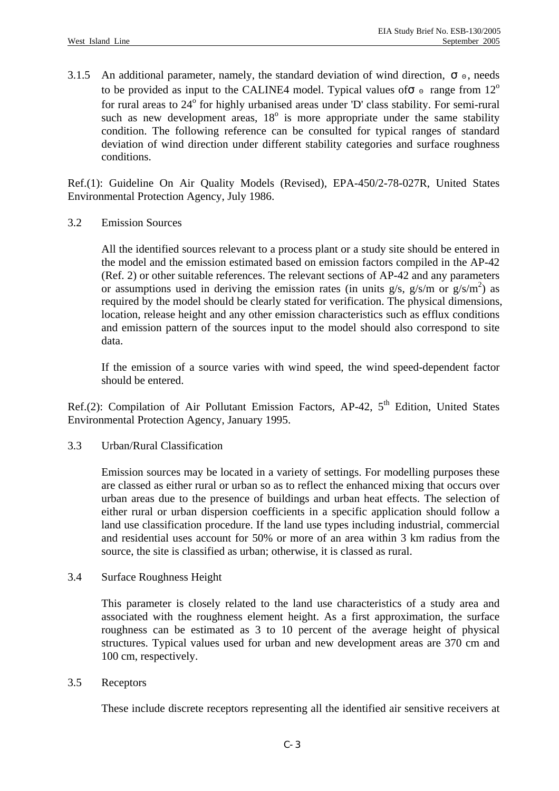3.1.5 An additional parameter, namely, the standard deviation of wind direction, seeds to be provided as input to the CALINE4 model. Typical values of range from  $12^{\circ}$ for rural areas to 24° for highly urbanised areas under 'D' class stability. For semi-rural such as new development areas,  $18^\circ$  is more appropriate under the same stability condition. The following reference can be consulted for typical ranges of standard deviation of wind direction under different stability categories and surface roughness conditions.

Ref.(1): Guideline On Air Quality Models (Revised), EPA-450/2-78-027R, United States Environmental Protection Agency, July 1986.

3.2 Emission Sources

 All the identified sources relevant to a process plant or a study site should be entered in the model and the emission estimated based on emission factors compiled in the AP-42 (Ref. 2) or other suitable references. The relevant sections of AP-42 and any parameters or assumptions used in deriving the emission rates (in units  $g/s$ ,  $g/s/m$  or  $g/s/m<sup>2</sup>$ ) as required by the model should be clearly stated for verification. The physical dimensions, location, release height and any other emission characteristics such as efflux conditions and emission pattern of the sources input to the model should also correspond to site data.

 If the emission of a source varies with wind speed, the wind speed-dependent factor should be entered.

Ref.(2): Compilation of Air Pollutant Emission Factors, AP-42,  $5<sup>th</sup>$  Edition, United States Environmental Protection Agency, January 1995.

3.3 Urban/Rural Classification

 Emission sources may be located in a variety of settings. For modelling purposes these are classed as either rural or urban so as to reflect the enhanced mixing that occurs over urban areas due to the presence of buildings and urban heat effects. The selection of either rural or urban dispersion coefficients in a specific application should follow a land use classification procedure. If the land use types including industrial, commercial and residential uses account for 50% or more of an area within 3 km radius from the source, the site is classified as urban; otherwise, it is classed as rural.

3.4 Surface Roughness Height

 This parameter is closely related to the land use characteristics of a study area and associated with the roughness element height. As a first approximation, the surface roughness can be estimated as 3 to 10 percent of the average height of physical structures. Typical values used for urban and new development areas are 370 cm and 100 cm, respectively.

3.5 Receptors

These include discrete receptors representing all the identified air sensitive receivers at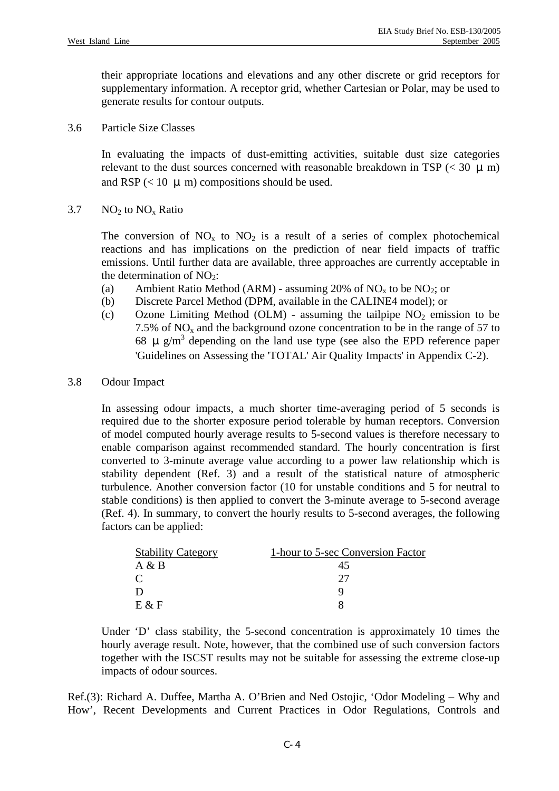their appropriate locations and elevations and any other discrete or grid receptors for supplementary information. A receptor grid, whether Cartesian or Polar, may be used to generate results for contour outputs.

3.6 Particle Size Classes

 In evaluating the impacts of dust-emitting activities, suitable dust size categories relevant to the dust sources concerned with reasonable breakdown in TSP ( $<$  30  $\mu$  m) and RSP ( $< 10 \mu$ m) compositions should be used.

### 3.7  $NO<sub>2</sub>$  to  $NO<sub>x</sub>$  Ratio

The conversion of  $NO<sub>x</sub>$  to  $NO<sub>2</sub>$  is a result of a series of complex photochemical reactions and has implications on the prediction of near field impacts of traffic emissions. Until further data are available, three approaches are currently acceptable in the determination of  $NO<sub>2</sub>$ :

- (a) Ambient Ratio Method (ARM) assuming 20% of  $NO<sub>x</sub>$  to be  $NO<sub>2</sub>$ ; or
- (b) Discrete Parcel Method (DPM, available in the CALINE4 model); or
- (c) Ozone Limiting Method (OLM) assuming the tailpipe  $NO<sub>2</sub>$  emission to be 7.5% of  $NO<sub>x</sub>$  and the background ozone concentration to be in the range of 57 to 68  $\mu$  g/m<sup>3</sup> depending on the land use type (see also the EPD reference paper 'Guidelines on Assessing the 'TOTAL' Air Quality Impacts' in Appendix C-2).

#### 3.8 Odour Impact

 In assessing odour impacts, a much shorter time-averaging period of 5 seconds is required due to the shorter exposure period tolerable by human receptors. Conversion of model computed hourly average results to 5-second values is therefore necessary to enable comparison against recommended standard. The hourly concentration is first converted to 3-minute average value according to a power law relationship which is stability dependent (Ref. 3) and a result of the statistical nature of atmospheric turbulence. Another conversion factor (10 for unstable conditions and 5 for neutral to stable conditions) is then applied to convert the 3-minute average to 5-second average (Ref. 4). In summary, to convert the hourly results to 5-second averages, the following factors can be applied:

| <b>Stability Category</b> | 1-hour to 5-sec Conversion Factor |
|---------------------------|-----------------------------------|
| A & B                     |                                   |
|                           |                                   |
|                           |                                   |
| $E \& F$                  |                                   |

Under 'D' class stability, the 5-second concentration is approximately 10 times the hourly average result. Note, however, that the combined use of such conversion factors together with the ISCST results may not be suitable for assessing the extreme close-up impacts of odour sources.

Ref.(3): Richard A. Duffee, Martha A. O'Brien and Ned Ostojic, 'Odor Modeling – Why and How', Recent Developments and Current Practices in Odor Regulations, Controls and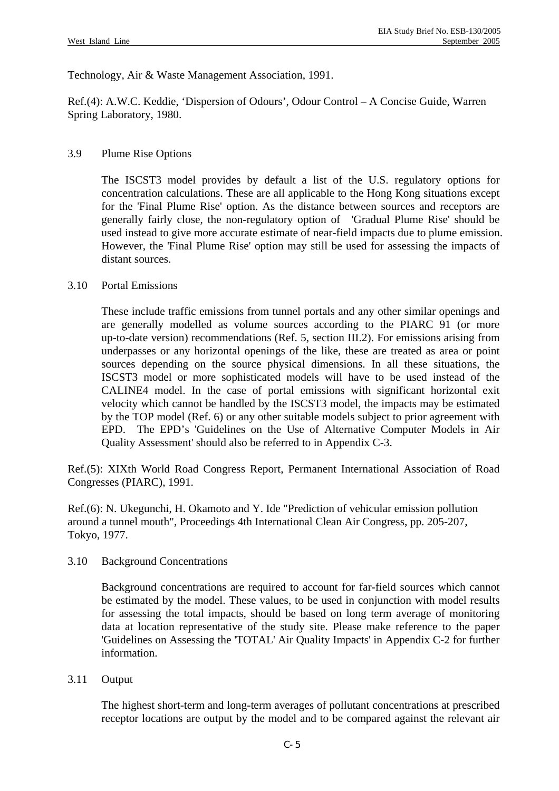Technology, Air & Waste Management Association, 1991.

Ref.(4): A.W.C. Keddie, 'Dispersion of Odours', Odour Control – A Concise Guide, Warren Spring Laboratory, 1980.

## 3.9 Plume Rise Options

 The ISCST3 model provides by default a list of the U.S. regulatory options for concentration calculations. These are all applicable to the Hong Kong situations except for the 'Final Plume Rise' option. As the distance between sources and receptors are generally fairly close, the non-regulatory option of 'Gradual Plume Rise' should be used instead to give more accurate estimate of near-field impacts due to plume emission. However, the 'Final Plume Rise' option may still be used for assessing the impacts of distant sources.

## 3.10 Portal Emissions

 These include traffic emissions from tunnel portals and any other similar openings and are generally modelled as volume sources according to the PIARC 91 (or more up-to-date version) recommendations (Ref. 5, section III.2). For emissions arising from underpasses or any horizontal openings of the like, these are treated as area or point sources depending on the source physical dimensions. In all these situations, the ISCST3 model or more sophisticated models will have to be used instead of the CALINE4 model. In the case of portal emissions with significant horizontal exit velocity which cannot be handled by the ISCST3 model, the impacts may be estimated by the TOP model (Ref. 6) or any other suitable models subject to prior agreement with EPD. The EPD's 'Guidelines on the Use of Alternative Computer Models in Air Quality Assessment' should also be referred to in Appendix C-3.

Ref.(5): XIXth World Road Congress Report, Permanent International Association of Road Congresses (PIARC), 1991.

Ref.(6): N. Ukegunchi, H. Okamoto and Y. Ide "Prediction of vehicular emission pollution around a tunnel mouth", Proceedings 4th International Clean Air Congress, pp. 205-207, Tokyo, 1977.

## 3.10 Background Concentrations

 Background concentrations are required to account for far-field sources which cannot be estimated by the model. These values, to be used in conjunction with model results for assessing the total impacts, should be based on long term average of monitoring data at location representative of the study site. Please make reference to the paper 'Guidelines on Assessing the 'TOTAL' Air Quality Impacts' in Appendix C-2 for further information.

## 3.11 Output

 The highest short-term and long-term averages of pollutant concentrations at prescribed receptor locations are output by the model and to be compared against the relevant air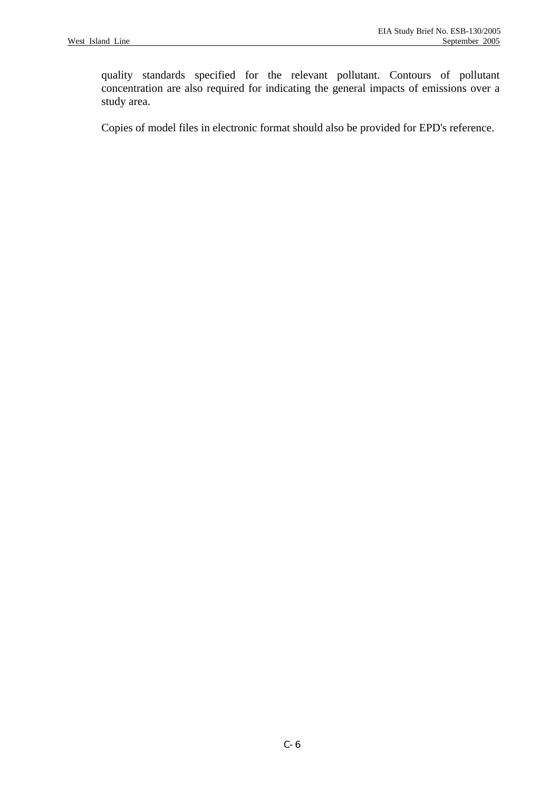quality standards specified for the relevant pollutant. Contours of pollutant concentration are also required for indicating the general impacts of emissions over a study area.

Copies of model files in electronic format should also be provided for EPD's reference.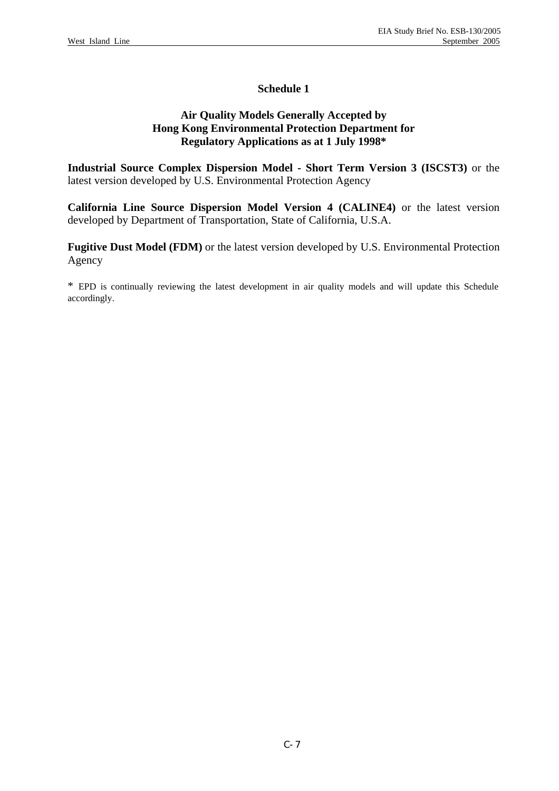## **Schedule 1**

## **Air Quality Models Generally Accepted by Hong Kong Environmental Protection Department for Regulatory Applications as at 1 July 1998\***

**Industrial Source Complex Dispersion Model - Short Term Version 3 (ISCST3)** or the latest version developed by U.S. Environmental Protection Agency

**California Line Source Dispersion Model Version 4 (CALINE4)** or the latest version developed by Department of Transportation, State of California, U.S.A.

**Fugitive Dust Model (FDM)** or the latest version developed by U.S. Environmental Protection Agency

\* EPD is continually reviewing the latest development in air quality models and will update this Schedule accordingly.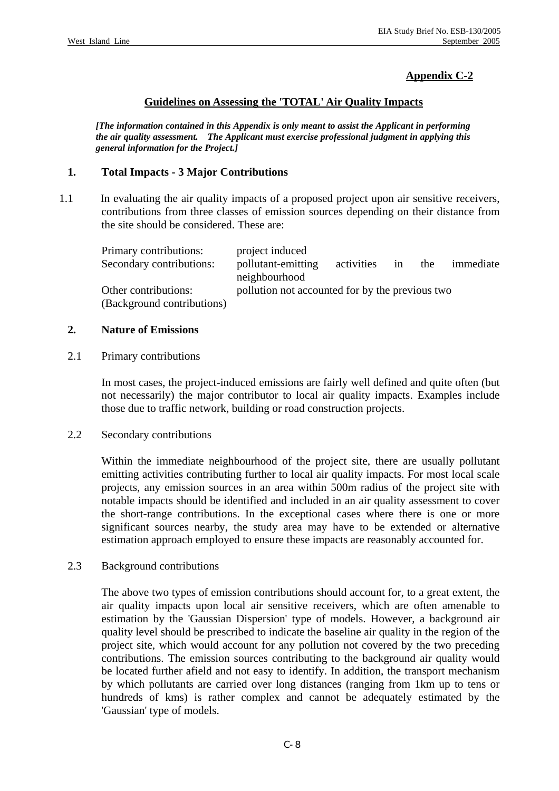# **Appendix C-2**

## **Guidelines on Assessing the 'TOTAL' Air Quality Impacts**

*[The information contained in this Appendix is only meant to assist the Applicant in performing the air quality assessment. The Applicant must exercise professional judgment in applying this general information for the Project.]* 

## **1. Total Impacts - 3 Major Contributions**

1.1 In evaluating the air quality impacts of a proposed project upon air sensitive receivers, contributions from three classes of emission sources depending on their distance from the site should be considered. These are:

| Primary contributions:     | project induced                                 |            |    |     |           |
|----------------------------|-------------------------------------------------|------------|----|-----|-----------|
| Secondary contributions:   | pollutant-emitting                              | activities | in | the | immediate |
|                            | neighbourhood                                   |            |    |     |           |
| Other contributions:       | pollution not accounted for by the previous two |            |    |     |           |
| (Background contributions) |                                                 |            |    |     |           |

#### **2. Nature of Emissions**

#### 2.1 Primary contributions

 In most cases, the project-induced emissions are fairly well defined and quite often (but not necessarily) the major contributor to local air quality impacts. Examples include those due to traffic network, building or road construction projects.

## 2.2 Secondary contributions

 Within the immediate neighbourhood of the project site, there are usually pollutant emitting activities contributing further to local air quality impacts. For most local scale projects, any emission sources in an area within 500m radius of the project site with notable impacts should be identified and included in an air quality assessment to cover the short-range contributions. In the exceptional cases where there is one or more significant sources nearby, the study area may have to be extended or alternative estimation approach employed to ensure these impacts are reasonably accounted for.

## 2.3 Background contributions

 The above two types of emission contributions should account for, to a great extent, the air quality impacts upon local air sensitive receivers, which are often amenable to estimation by the 'Gaussian Dispersion' type of models. However, a background air quality level should be prescribed to indicate the baseline air quality in the region of the project site, which would account for any pollution not covered by the two preceding contributions. The emission sources contributing to the background air quality would be located further afield and not easy to identify. In addition, the transport mechanism by which pollutants are carried over long distances (ranging from 1km up to tens or hundreds of kms) is rather complex and cannot be adequately estimated by the 'Gaussian' type of models.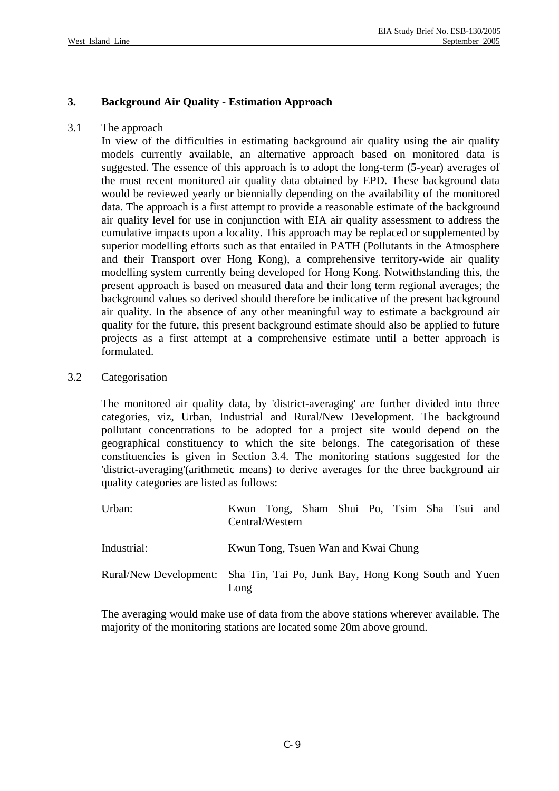## **3. Background Air Quality - Estimation Approach**

## 3.1 The approach

 In view of the difficulties in estimating background air quality using the air quality models currently available, an alternative approach based on monitored data is suggested. The essence of this approach is to adopt the long-term (5-year) averages of the most recent monitored air quality data obtained by EPD. These background data would be reviewed yearly or biennially depending on the availability of the monitored data. The approach is a first attempt to provide a reasonable estimate of the background air quality level for use in conjunction with EIA air quality assessment to address the cumulative impacts upon a locality. This approach may be replaced or supplemented by superior modelling efforts such as that entailed in PATH (Pollutants in the Atmosphere and their Transport over Hong Kong), a comprehensive territory-wide air quality modelling system currently being developed for Hong Kong. Notwithstanding this, the present approach is based on measured data and their long term regional averages; the background values so derived should therefore be indicative of the present background air quality. In the absence of any other meaningful way to estimate a background air quality for the future, this present background estimate should also be applied to future projects as a first attempt at a comprehensive estimate until a better approach is formulated.

## 3.2 Categorisation

 The monitored air quality data, by 'district-averaging' are further divided into three categories, viz, Urban, Industrial and Rural/New Development. The background pollutant concentrations to be adopted for a project site would depend on the geographical constituency to which the site belongs. The categorisation of these constituencies is given in Section 3.4. The monitoring stations suggested for the 'district-averaging'(arithmetic means) to derive averages for the three background air quality categories are listed as follows:

| Urban:                                                                     |                                     | Kwun Tong, Sham Shui Po, Tsim Sha Tsui and<br>Central/Western |  |  |  |  |  |
|----------------------------------------------------------------------------|-------------------------------------|---------------------------------------------------------------|--|--|--|--|--|
| Industrial:                                                                | Kwun Tong, Tsuen Wan and Kwai Chung |                                                               |  |  |  |  |  |
| Rural/New Development: Sha Tin, Tai Po, Junk Bay, Hong Kong South and Yuen | Long                                |                                                               |  |  |  |  |  |

 The averaging would make use of data from the above stations wherever available. The majority of the monitoring stations are located some 20m above ground.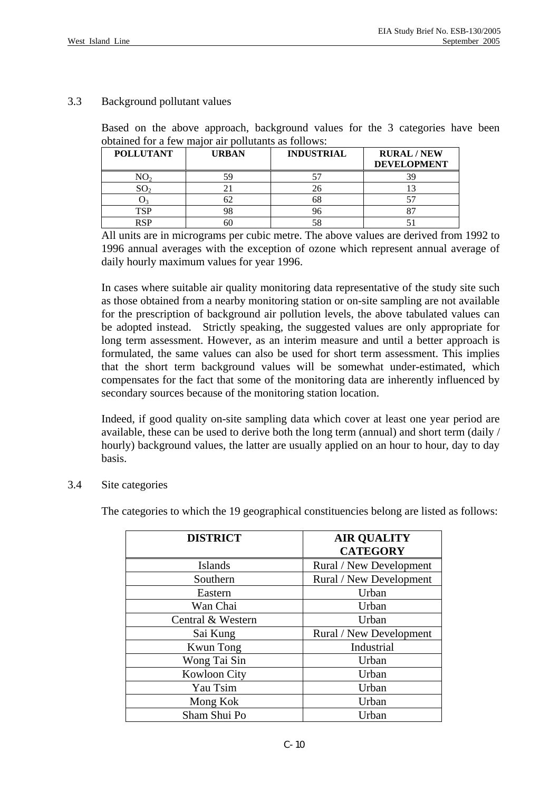## 3.3 Background pollutant values

 Based on the above approach, background values for the 3 categories have been obtained for a few major air pollutants as follows:

| <b>POLLUTANT</b> | <b>URBAN</b> | <b>INDUSTRIAL</b> | <b>RURAL/NEW</b><br><b>DEVELOPMENT</b> |
|------------------|--------------|-------------------|----------------------------------------|
|                  | 59           |                   |                                        |
| $\text{SO}_2$    |              |                   |                                        |
|                  | ∠כ           |                   |                                        |
| TSP              | 98           |                   |                                        |
| <b>RSP</b>       | 5C           |                   |                                        |

 All units are in micrograms per cubic metre. The above values are derived from 1992 to 1996 annual averages with the exception of ozone which represent annual average of daily hourly maximum values for year 1996.

 In cases where suitable air quality monitoring data representative of the study site such as those obtained from a nearby monitoring station or on-site sampling are not available for the prescription of background air pollution levels, the above tabulated values can be adopted instead. Strictly speaking, the suggested values are only appropriate for long term assessment. However, as an interim measure and until a better approach is formulated, the same values can also be used for short term assessment. This implies that the short term background values will be somewhat under-estimated, which compensates for the fact that some of the monitoring data are inherently influenced by secondary sources because of the monitoring station location.

 Indeed, if good quality on-site sampling data which cover at least one year period are available, these can be used to derive both the long term (annual) and short term (daily / hourly) background values, the latter are usually applied on an hour to hour, day to day basis.

## 3.4 Site categories

The categories to which the 19 geographical constituencies belong are listed as follows:

| <b>DISTRICT</b>     | <b>AIR QUALITY</b>      |  |  |
|---------------------|-------------------------|--|--|
|                     | <b>CATEGORY</b>         |  |  |
| <b>Islands</b>      | Rural / New Development |  |  |
| Southern            | Rural / New Development |  |  |
| Eastern             | Urban                   |  |  |
| Wan Chai            | Urban                   |  |  |
| Central & Western   | Urban                   |  |  |
| Sai Kung            | Rural / New Development |  |  |
| <b>Kwun</b> Tong    | Industrial              |  |  |
| Wong Tai Sin        | Urban                   |  |  |
| <b>Kowloon City</b> | Urban                   |  |  |
| Yau Tsim            | Urban                   |  |  |
| Mong Kok            | Urban                   |  |  |
| Sham Shui Po        | Urban                   |  |  |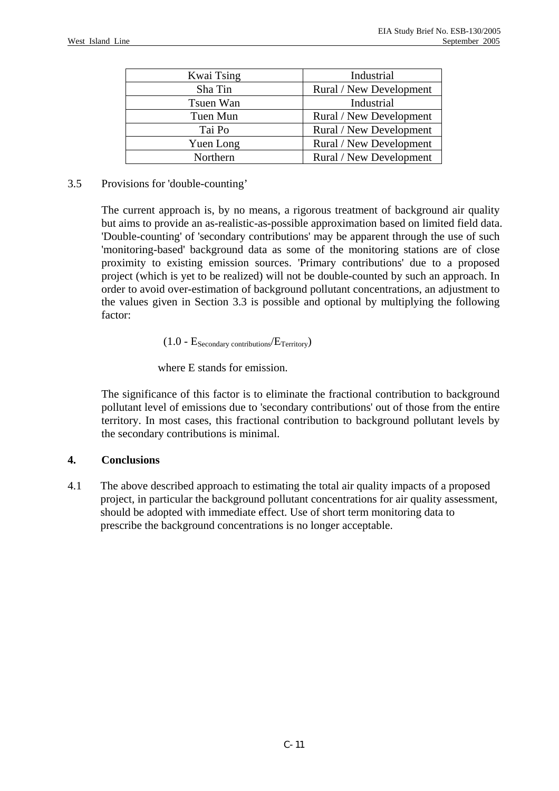| Kwai Tsing | Industrial              |
|------------|-------------------------|
| Sha Tin    | Rural / New Development |
| Tsuen Wan  | Industrial              |
| Tuen Mun   | Rural / New Development |
| Tai Po     | Rural / New Development |
| Yuen Long  | Rural / New Development |
| Northern   | Rural / New Development |

## 3.5 Provisions for 'double-counting'

 The current approach is, by no means, a rigorous treatment of background air quality but aims to provide an as-realistic-as-possible approximation based on limited field data. 'Double-counting' of 'secondary contributions' may be apparent through the use of such 'monitoring-based' background data as some of the monitoring stations are of close proximity to existing emission sources. 'Primary contributions' due to a proposed project (which is yet to be realized) will not be double-counted by such an approach. In order to avoid over-estimation of background pollutant concentrations, an adjustment to the values given in Section 3.3 is possible and optional by multiplying the following factor:

## $(1.0 - E_{\text{Secondary contributions}}/E_{\text{Territory}})$

where E stands for emission.

 The significance of this factor is to eliminate the fractional contribution to background pollutant level of emissions due to 'secondary contributions' out of those from the entire territory. In most cases, this fractional contribution to background pollutant levels by the secondary contributions is minimal.

## **4. Conclusions**

4.1 The above described approach to estimating the total air quality impacts of a proposed project, in particular the background pollutant concentrations for air quality assessment, should be adopted with immediate effect. Use of short term monitoring data to prescribe the background concentrations is no longer acceptable.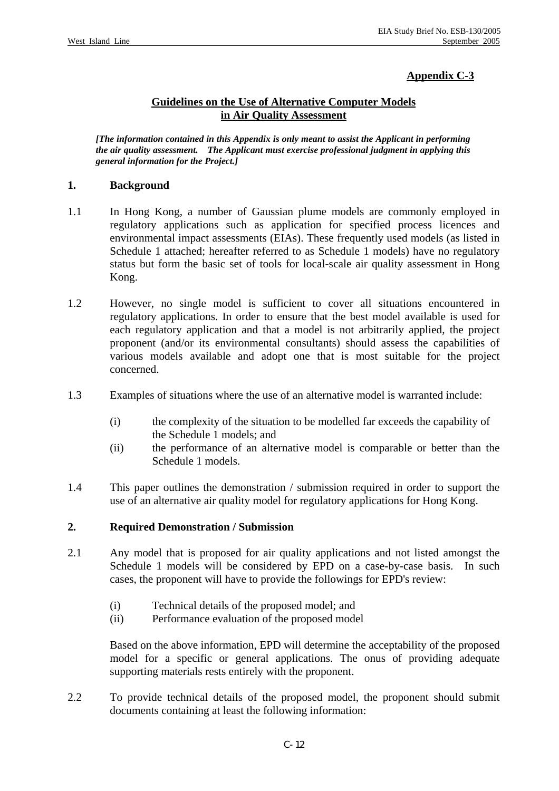# **Appendix C-3**

## **Guidelines on the Use of Alternative Computer Models in Air Quality Assessment**

*[The information contained in this Appendix is only meant to assist the Applicant in performing the air quality assessment. The Applicant must exercise professional judgment in applying this general information for the Project.]* 

## **1. Background**

- 1.1 In Hong Kong, a number of Gaussian plume models are commonly employed in regulatory applications such as application for specified process licences and environmental impact assessments (EIAs). These frequently used models (as listed in Schedule 1 attached; hereafter referred to as Schedule 1 models) have no regulatory status but form the basic set of tools for local-scale air quality assessment in Hong Kong.
- 1.2 However, no single model is sufficient to cover all situations encountered in regulatory applications. In order to ensure that the best model available is used for each regulatory application and that a model is not arbitrarily applied, the project proponent (and/or its environmental consultants) should assess the capabilities of various models available and adopt one that is most suitable for the project concerned.
- 1.3 Examples of situations where the use of an alternative model is warranted include:
	- (i) the complexity of the situation to be modelled far exceeds the capability of the Schedule 1 models; and
	- (ii) the performance of an alternative model is comparable or better than the Schedule 1 models.
- 1.4 This paper outlines the demonstration / submission required in order to support the use of an alternative air quality model for regulatory applications for Hong Kong.

## **2. Required Demonstration / Submission**

- 2.1 Any model that is proposed for air quality applications and not listed amongst the Schedule 1 models will be considered by EPD on a case-by-case basis. In such cases, the proponent will have to provide the followings for EPD's review:
	- (i) Technical details of the proposed model; and
	- (ii) Performance evaluation of the proposed model

 Based on the above information, EPD will determine the acceptability of the proposed model for a specific or general applications. The onus of providing adequate supporting materials rests entirely with the proponent.

2.2 To provide technical details of the proposed model, the proponent should submit documents containing at least the following information: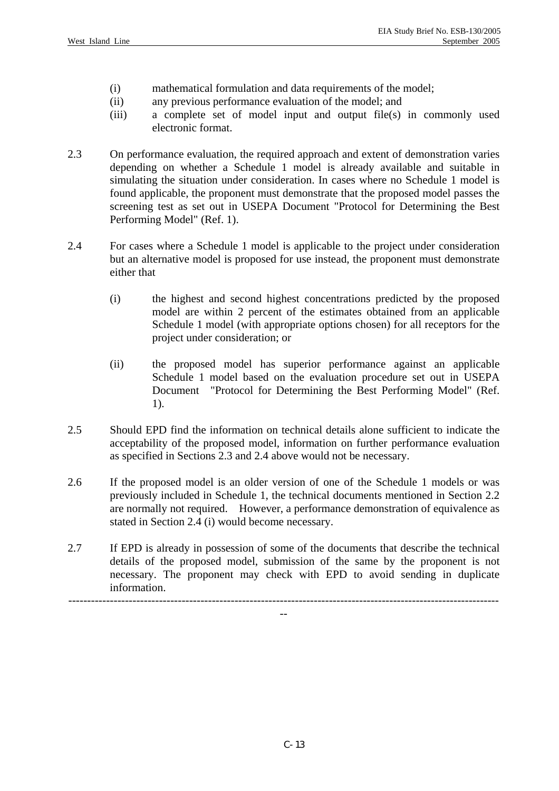- (i) mathematical formulation and data requirements of the model;
- (ii) any previous performance evaluation of the model; and
- (iii) a complete set of model input and output file(s) in commonly used electronic format.
- 2.3 On performance evaluation, the required approach and extent of demonstration varies depending on whether a Schedule 1 model is already available and suitable in simulating the situation under consideration. In cases where no Schedule 1 model is found applicable, the proponent must demonstrate that the proposed model passes the screening test as set out in USEPA Document "Protocol for Determining the Best Performing Model" (Ref. 1).
- 2.4 For cases where a Schedule 1 model is applicable to the project under consideration but an alternative model is proposed for use instead, the proponent must demonstrate either that
	- (i) the highest and second highest concentrations predicted by the proposed model are within 2 percent of the estimates obtained from an applicable Schedule 1 model (with appropriate options chosen) for all receptors for the project under consideration; or
	- (ii) the proposed model has superior performance against an applicable Schedule 1 model based on the evaluation procedure set out in USEPA Document "Protocol for Determining the Best Performing Model" (Ref. 1).
- 2.5 Should EPD find the information on technical details alone sufficient to indicate the acceptability of the proposed model, information on further performance evaluation as specified in Sections 2.3 and 2.4 above would not be necessary.
- 2.6 If the proposed model is an older version of one of the Schedule 1 models or was previously included in Schedule 1, the technical documents mentioned in Section 2.2 are normally not required. However, a performance demonstration of equivalence as stated in Section 2.4 (i) would become necessary.
- 2.7 If EPD is already in possession of some of the documents that describe the technical details of the proposed model, submission of the same by the proponent is not necessary. The proponent may check with EPD to avoid sending in duplicate information.

------------------------------------------------------------------------------------------------------------------ --